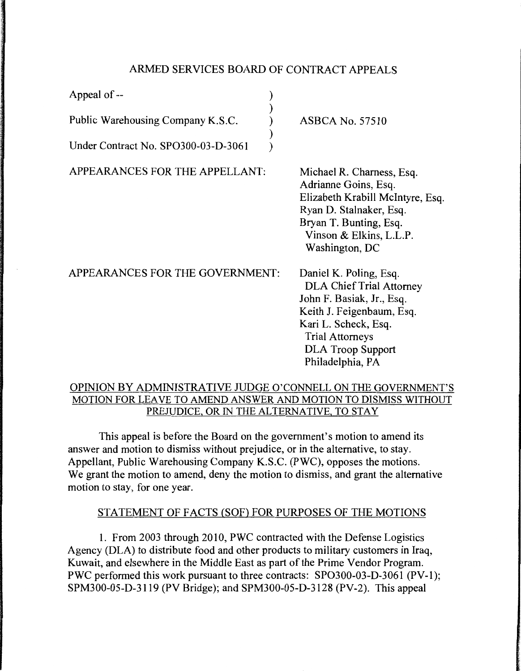# ARMED SERVICES BOARD OF CONTRACT APPEALS

| Appeal of --                        |                                                                                                                                                                                            |
|-------------------------------------|--------------------------------------------------------------------------------------------------------------------------------------------------------------------------------------------|
| Public Warehousing Company K.S.C.   | <b>ASBCA No. 57510</b>                                                                                                                                                                     |
| Under Contract No. SPO300-03-D-3061 |                                                                                                                                                                                            |
| APPEARANCES FOR THE APPELLANT:      | Michael R. Charness, Esq.<br>Adrianne Goins, Esq.<br>Elizabeth Krabill McIntyre, Esq.<br>Ryan D. Stalnaker, Esq.<br>Bryan T. Bunting, Esq.<br>Vinson & Elkins, L.L.P.<br>Washington, DC    |
| APPEARANCES FOR THE GOVERNMENT:     | Daniel K. Poling, Esq.<br><b>DLA Chief Trial Attorney</b><br>John F. Basiak, Jr., Esq.<br>Keith J. Feigenbaum, Esq.<br>Kari L. Scheck, Esq.<br><b>Trial Attorneys</b><br>DLA Troop Support |

### OPINION BY ADMINISTRATIVE JUDGE O'CONNELL ON THE GOVERNMENT'S MOTION FOR LEA VE TO AMEND ANSWER AND MOTION TO DISMISS WITHOUT PREJUDICE, OR IN THE ALTERNATIVE, TO STAY

Philadelphia, PA

This appeal is before the Board on the government's motion to amend its answer and motion to dismiss without prejudice, or in the alternative, to stay. Appellant, Public Warehousing Company K.S.C. (PWC), opposes the motions. We grant the motion to amend, deny the motion to dismiss, and grant the alternative motion to stay, for one year.

## STATEMENT OF FACTS (SOF) FOR PURPOSES OF THE MOTIONS

1. From 2003 through 2010, PWC contracted with the Defense Logistics Agency (DLA) to distribute food and other products to military customers in Iraq, Kuwait, and elsewhere in the Middle East as part of the Prime Vendor Program. PWC performed this work pursuant to three contracts: SPO300-03-D-3061 (PV-1); SPM300-05-D-3119 (PV Bridge); and SPM300-05-D-3128 (PV-2). This appeal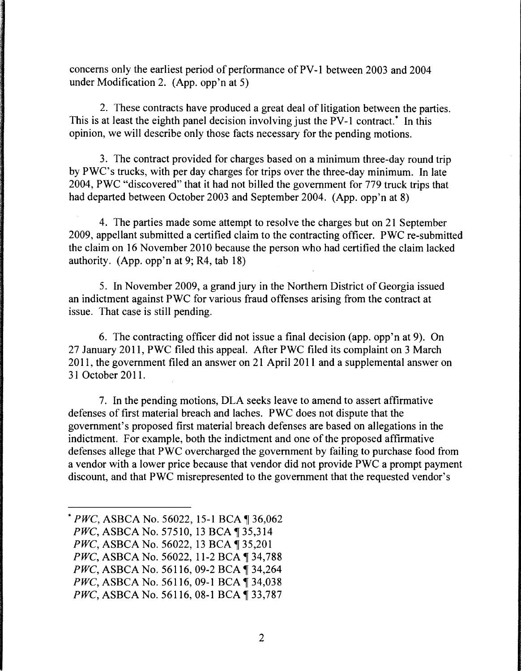concerns only the earliest period of performance of PV-1 between 2003 and 2004 under Modification 2. (App. opp'n at 5)

2. These contracts have produced a great deal of litigation between the parties. This is at least the eighth panel decision involving just the PV-1 contract.<sup>\*</sup> In this opinion, we will describe only those facts necessary for the pending motions.

3. The contract provided for charges based on a minimum three-day round trip by PWC's trucks, with per day charges for trips over the three-day minimum. In late 2004, PWC "discovered" that it had not billed the government for 779 truck trips that had departed between October 2003 and September 2004. (App. opp'n at 8)

4. The parties made some attempt to resolve the charges but on 21 September 2009, appellant submitted a certified claim to the contracting officer. PWC re-submitted the claim on 16 November 2010 because the person who had certified the claim lacked authority. (App. opp'n at 9; R4, tab 18)

5. In November 2009, a grand jury in the Northern District of Georgia issued an indictment against PWC for various fraud offenses arising from the contract at issue. That case is still pending.

6. The contracting officer did not issue a final decision (app. opp'n at 9). On 27 January 2011, PWC filed this appeal. After PWC filed its complaint on 3 March 2011, the government filed an answer on 21 April 2011 and a supplemental answer on 31 October 2011.

7. In the pending motions, DLA seeks leave to amend to assert affirmative defenses of first material breach and laches. PWC does not dispute that the government's proposed first material breach defenses are based on allegations in the indictment. For example, both the indictment and one of the proposed affirmative defenses allege that PWC overcharged the government by failing to purchase food from a vendor with a lower price because that vendor did not provide PWC a prompt payment discount, and that PWC misrepresented to the government that the requested vendor's

<sup>\*</sup> *PWC*, ASBCA No. 56022, 15-1 BCA 1 36,062

*PWC*, ASBCA No. 57510, 13 BCA ¶ 35,314

*PWC, ASBCA No. 56022, 13 BCA* 135,201

*PWC*, ASBCA No. 56022, 11-2 BCA 1 34, 788

*PWC*, ASBCA No. 56116, 09-2 BCA 1 34,264

*PWC*, ASBCA No. 56116, 09-1 BCA 1 34,038

*PWC, ASBCA No.* 56116, 08-1 BCA 133,787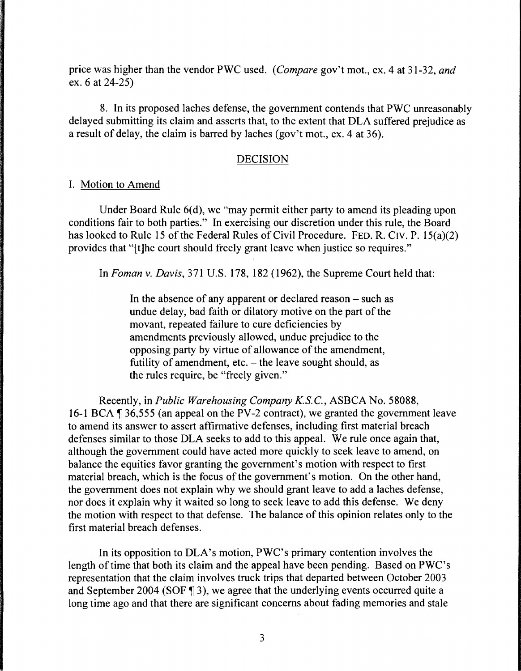price was higher than the vendor PWC used. *(Compare* gov't mot., ex. 4 at 31-32, *and*  ex. 6 at 24-25)

8. In its proposed laches defense, the government contends that PWC unreasonably delayed submitting its claim and asserts that, to the extent that DLA suffered prejudice as a result of delay, the claim is barred by laches (gov't mot., ex. 4 at 36).

#### DECISION

#### I. Motion to Amend

Under Board Rule  $6(d)$ , we "may permit either party to amend its pleading upon conditions fair to both parties." In exercising our discretion under this rule, the Board has looked to Rule 15 of the Federal Rules of Civil Procedure. FED. R. CIV. P. 15(a)(2) provides that "(t]he court should freely grant leave when justice so requires."

In *Foman* v. *Davis,* 371U.S.178, 182 (1962), the Supreme Court held that:

In the absence of any apparent or declared reason – such as undue delay, bad faith or dilatory motive on the part of the movant, repeated failure to cure deficiencies by amendments previously allowed, undue prejudice to the opposing party by virtue of allowance of the amendment, futility of amendment, etc.  $-$  the leave sought should, as the rules require, be "freely given."

Recently, in *Public Warehousing Company K.S.C.,* ASBCA No. 58088, 16-1 BCA  $\parallel$  36,555 (an appeal on the PV-2 contract), we granted the government leave to amend its answer to assert affirmative defenses, including first material breach defenses similar to those DLA seeks to add to this appeal. We rule once again that, although the government could have acted more quickly to seek leave to amend, on balance the equities favor granting the government's motion with respect to first material breach, which is the focus of the government's motion. On the other hand, the government does not explain why we should grant leave to add a laches defense, nor does it explain why it waited so long to seek leave to add this defense. We deny the motion with respect to that defense. The balance of this opinion relates only to the first material breach defenses.

In its opposition to DLA's motion, PWC's primary contention involves the length of time that both its claim and the appeal have been pending. Based on PWC's representation that the claim involves truck trips that departed between October 2003 and September 2004 (SOF  $\P$  3), we agree that the underlying events occurred quite a long time ago and that there are significant concerns about fading memories and stale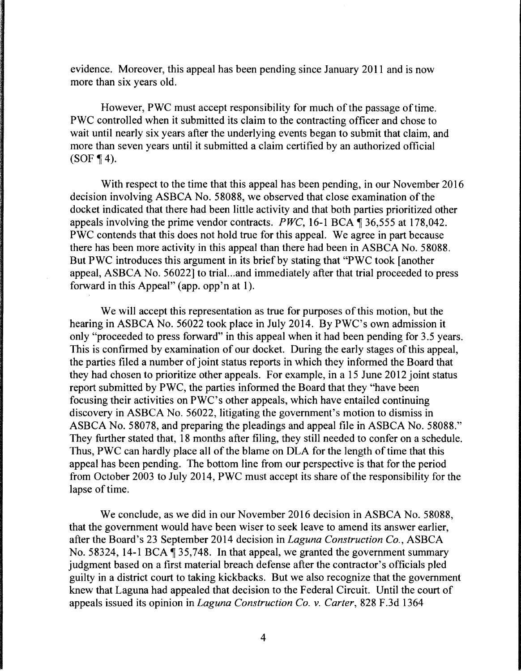evidence. Moreover, this appeal has been pending since January 2011 and is now more than six years old.

However, PWC must accept responsibility for much of the passage of time. PWC controlled when it submitted its claim to the contracting officer and chose to wait until nearly six years after the underlying events began to submit that claim, and more than seven years until it submitted a claim certified by an authorized official  $(SOF \P 4).$ 

With respect to the time that this appeal has been pending, in our November 2016 decision involving ASBCA No. 58088, we observed that close examination of the docket indicated that there had been little activity and that both parties prioritized other appeals involving the prime vendor contracts.  $PWC$ , 16-1 BCA  $\parallel$  36,555 at 178,042. PWC contends that this does not hold true for this appeal. We agree in part because there has been more activity in this appeal than there had been in ASBCA No. 58088. But PWC introduces this argument in its brief by stating that "PWC took [another appeal, ASBCA No. 56022] to trial...and immediately after that trial proceeded to press forward in this Appeal" (app. opp'n at 1).

We will accept this representation as true for purposes of this motion, but the hearing in ASBCA No. 56022 took place in July 2014. By PWC's own admission it only "proceeded to press forward" in this appeal when it had been pending for 3 .5 years. This is confirmed by examination of our docket. During the early stages of this appeal, the parties filed a number of joint status reports in which they informed the Board that they had chosen to prioritize other appeals. For example, in a 15 June 2012 joint status report submitted by PWC, the parties informed the Board that they "have been focusing their activities on PWC's other appeals, which have entailed continuing discovery in ASBCA No. 56022, litigating the government's motion to dismiss in ASBCA No. 58078, and preparing the pleadings and appeal file in ASBCA No. 58088." They further stated that, 18 months after filing, they still needed to confer on a schedule. Thus, PWC can hardly place all of the blame on DLA for the length of time that this appeal has been pending. The bottom line from our perspective is that for the period from October 2003 to July 2014, PWC must accept its share of the responsibility for the lapse of time.

We conclude, as we did in our November 2016 decision in ASBCA No. 58088, that the government would have been wiser to seek leave to amend its answer earlier, after the Board's 23 September 2014 decision in *Laguna Construction Co.,* ASBCA No. 58324, 14-1 BCA  $\sqrt{ }$  35,748. In that appeal, we granted the government summary judgment based on a first material breach defense after the contractor's officials pied guilty in a district court to taking kickbacks. But we also recognize that the government knew that Laguna had appealed that decision to the Federal Circuit. Until the court of appeals issued its opinion in *Laguna Construction Co. v. Carter,* 828 F .3d 1364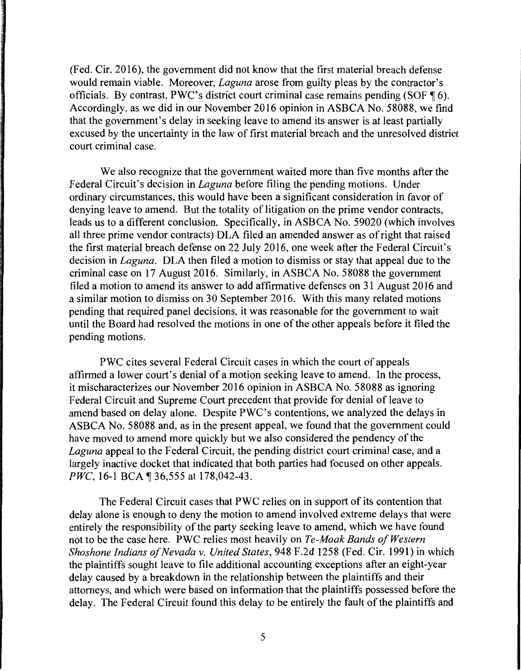(Fed. Cir. 2016), the government did not know that the first material breach defense would remain viable. Moreover, *Laguna* arose from guilty pleas by the contractor's officials. By contrast, PWC's district court criminal case remains pending (SOF  $\llbracket 6 \rrbracket$ ). Accordingly, as we did in our November 2016 opinion in ASBCA No. 58088, we find that the government's delay in seeking leave to amend its answer is at least partially excused by the uncertainty in the law of first material breach and the unresolved district court criminal case.

We also recognize that the government waited more than five months after the Federal Circuit's decision in *Laguna* before filing the pending motions. Under ordinary circumstances, this would have been a significant consideration in favor of denying leave to amend. But the totality of litigation on the prime vendor contracts, leads us to a different conclusion. Specifically, in ASBCA No. 59020 (which involves all three prime vendor contracts) DLA filed an amended answer as of right that raised the first material breach defense on 22 July 2016, one week after the Federal Circuit's decision in *Laguna.* DLA then filed a motion to dismiss or stay that appeal due to the criminal case on 17 August 2016. Similarly, in ASBCA No. 58088 the government filed a motion to amend its answer to add affirmative defenses on 31 August 2016 and a similar motion to dismiss on 30 September 2016. With this many related motions pending that required panel decisions, it was reasonable for the government to wait until the Board had resolved the motions in one of the other appeals before it filed the pending motions.

PWC cites several Federal Circuit cases in which the court of appeals affirmed a lower court's denial of a motion seeking leave to amend. In the process, it mischaracterizes our November 2016 opinion in ASBCA No. 58088 as ignoring Federal Circuit and Supreme Court precedent that provide for denial of leave to amend based on delay alone. Despite PWC's contentions, we analyzed the delays in ASBCA No. 58088 and, as in the present appeal, we found that the government could have moved to amend more quickly but we also considered the pendency of the *Laguna* appeal to the Federal Circuit, the pending district court criminal case, and a largely inactive docket that indicated that both parties had focused on other appeals. *PWC*, 16-1 BCA ¶ 36,555 at 178,042-43.

The Federal Circuit cases that PWC relies on in support of its contention that delay alone is enough to deny the motion to amend involved extreme delays that were entirely the responsibility of the party seeking leave to amend, which we have found not to be the case here. PWC relies most heavily on *Te-Moak Bands of Western Shoshone Indians of Nevada v. United States,* 948 F.2d 1258 (Fed. Cir. 1991) in which the plaintiffs sought leave to file additional accounting exceptions after an eight-year delay caused by a breakdown in the relationship between the plaintiffs and their attorneys, and which were based on information that the plaintiffs possessed before the delay. The Federal Circuit found this delay to be entirely the fault of the plaintiffs and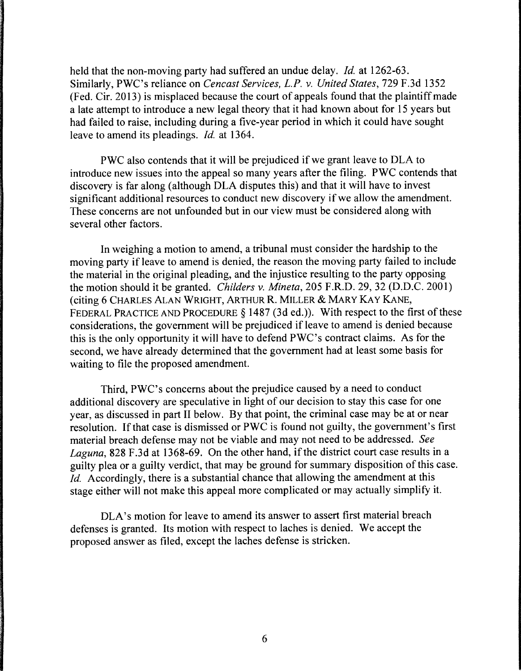held that the non-moving party had suffered an undue delay. *Id.* at 1262-63. Similarly, PWC's reliance on *Cencast Services, L.P. v. United States,* 729 F.3d 1352 (Fed. Cir. 2013) is misplaced because the court of appeals found that the plaintiff made a late attempt to introduce a new legal theory that it had known about for 15 years but had failed to raise, including during a five-year period in which it could have sought leave to amend its pleadings. *Id.* at 1364.

PWC also contends that it will be prejudiced if we grant leave to DLA to introduce new issues into the appeal so many years after the filing. PWC contends that discovery is far along (although DLA disputes this) and that it will have to invest significant additional resources to conduct new discovery if we allow the amendment. These concerns are not unfounded but in our view must be considered along with several other factors.

In weighing a motion to amend, a tribunal must consider the hardship to the moving party if leave to amend is denied, the reason the moving party failed to include the material in the original pleading, and the injustice resulting to the party opposing the motion should it be granted. *Childers v. Mineta,* 205 F.R.D. 29, 32 (D.D.C. 2001) (citing 6 CHARLES ALAN WRIGHT, ARTHUR R. MILLER & MARY KAY KANE, FEDERAL PRACTICE AND PROCEDURE§ 1487 (3d ed.)). With respect to the first of these considerations, the government will be prejudiced if leave to amend is denied because this is the only opportunity it will have to defend PWC's contract claims. As for the second, we have already determined that the government had at least some basis for waiting to file the proposed amendment.

Third, PWC's concerns about the prejudice caused by a need to conduct additional discovery are speculative in light of our decision to stay this case for one year, as discussed in part II below. By that point, the criminal case may be at or near resolution. If that case is dismissed or PWC is found not guilty, the government's first material breach defense may not be viable and may not need to be addressed. *See Laguna,* 828 F.3d at 1368-69. On the other hand, if the district court case results in a guilty plea or a guilty verdict, that may be ground for summary disposition of this case. *Id.* Accordingly, there is a substantial chance that allowing the amendment at this stage either will not make this appeal more complicated or may actually simplify it.

DLA's motion for leave to amend its answer to assert first material breach defenses is granted. Its motion with respect to laches is denied. We accept the proposed answer as filed, except the laches defense is stricken.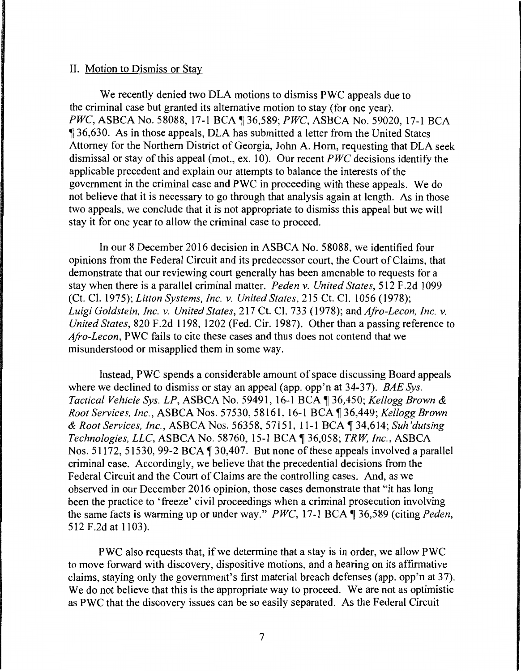### II. Motion to Dismiss or Stay

We recently denied two DLA motions to dismiss PWC appeals due to the criminal case but granted its alternative motion to stay (for one year). *PWC*, ASBCA No. 58088, 17-1 BCA | 36,589; *PWC*, ASBCA No. 59020, 17-1 BCA 136,630. As in those appeals, DLA has submitted a letter from the United States Attorney for the Northern District of Georgia, John A. Horn, requesting that DLA seek dismissal or stay of this appeal (mot., ex. 10). Our recent *PWC* decisions identify the applicable precedent and explain our attempts to balance the interests of the government in the criminal case and PWC in proceeding with these appeals. We do not believe that it is necessary to go through that analysis again at length. As in those two appeals, we conclude that it is not appropriate to dismiss this appeal but we will stay it for one year to allow the criminal case to proceed.

In our 8 December 2016 decision in ASBCA No. 58088, we identified four opinions from the Federal Circuit and its predecessor court, the Court of Claims, that demonstrate that our reviewing court generally has been amenable to requests for a stay when there is a parallel criminal matter. *Peden* v. *United States,* 512 F .2d 1099 (Ct. Cl. 1975); *Litton Systems, Inc.* v. *United States,* 215 Ct. Cl. 1056 (1978); *Luigi Goldstein, Inc.* v. *United States,* 217 Ct. Cl. 733 (1978); and *Afro-Lecon, Inc.* v. *United States, 820 F.2d 1198, 1202 (Fed. Cir. 1987). Other than a passing reference to Afro-Lecon,* PWC fails to cite these cases and thus does not contend that we misunderstood or misapplied them in some way.

Instead, PWC spends a considerable amount of space discussing Board appeals where we declined to dismiss or stay an appeal (app. opp'n at 34-37). *BAE Sys. Tactical Vehicle Sys. LP,* ASBCA No. 59491, 16-1BCA,36,450; *Kellogg Brown* & *Root Services, Inc.,* ASBCA Nos. 57530, 58161, 16-1BCA,36,449; *Kellogg Brown*  & *Root Services, Inc.,* ASBCA Nos. 56358, 57151, 11-1BCA,34,614; *Suh'dutsing Technologies, LLC,* ASBCA No. 58760, 15-1BCA,36,058; *TRW, Inc.,* ASBCA Nos. 51172, 51530, 99-2 BCA ¶ 30,407. But none of these appeals involved a parallel criminal case. Accordingly, we believe that the precedential decisions from the Federal Circuit and the Court of Claims are the controlling cases. And, as we observed in our December 2016 opinion, those cases demonstrate that "it has long been the practice to 'freeze' civil proceedings when a criminal prosecution involving the same facts is warming up or under way." *PWC*, 17-1 BCA 136,589 (citing *Peden*, 512 F.2d at 1103).

PWC also requests that, if we determine that a stay is in order, we allow PWC to move forward with discovery, dispositive motions, and a hearing on its affirmative claims, staying only the government's first material breach defenses (app. opp'n at 37). We do not believe that this is the appropriate way to proceed. We are not as optimistic as PWC that the discovery issues can be so easily separated. As the Federal Circuit